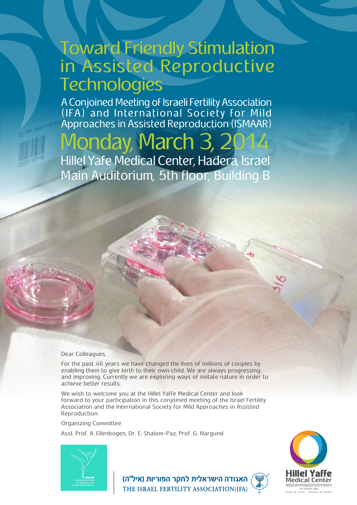## **Toward Friendly Stimulation** in Assisted Reproductive **Technologies**

A Conjoined Meeting of Israeli Fertility Association (IFA) and International Society for Mild Approaches in Assisted Reproduction (ISMAAR)

# Monday, March 3, 2

Hillel Yafe Medical Center, Hadera, Israel Main Auditorium, 5th floor, Building B

#### Dear Colleagues.

For the past 46 years we have changed the lives of millions of couples by enabling them to give birth to their own child. We are always progressing and improving. Currently we are exploring ways of imitate nature in order to achieve better results.

We wish to welcome you at the Hillel Yaffe Medical Center and look forward to your participation in this conjoined meeting of the Israel Fertility Association and the International Society for Mild Approaches in Assisted .Reproduction

Organizing Committee

Asst. Prof. A. Ellenbogen, Dr. E. Shalom-Paz, Prof. G. Nargund





האגודה הישראלית לחקר הפוריות (איל"ה) THE ISRAEL FERTILITY ASSOCIATION(IFA)